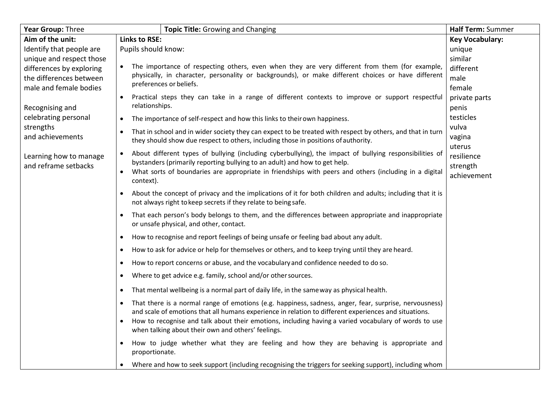| Year Group: Three        | <b>Topic Title: Growing and Changing</b>                                                                                                                                                             | Half Term: Summer      |
|--------------------------|------------------------------------------------------------------------------------------------------------------------------------------------------------------------------------------------------|------------------------|
| Aim of the unit:         | <b>Links to RSE:</b>                                                                                                                                                                                 | <b>Key Vocabulary:</b> |
| Identify that people are | Pupils should know:                                                                                                                                                                                  | unique                 |
| unique and respect those |                                                                                                                                                                                                      | similar                |
| differences by exploring | The importance of respecting others, even when they are very different from them (for example,<br>physically, in character, personality or backgrounds), or make different choices or have different | different              |
| the differences between  | preferences or beliefs.                                                                                                                                                                              | male                   |
| male and female bodies   |                                                                                                                                                                                                      | female                 |
|                          | Practical steps they can take in a range of different contexts to improve or support respectful<br>$\bullet$                                                                                         | private parts          |
| Recognising and          | relationships.                                                                                                                                                                                       | penis                  |
| celebrating personal     | The importance of self-respect and how this links to their own happiness.<br>$\bullet$                                                                                                               | testicles              |
| strengths                | That in school and in wider society they can expect to be treated with respect by others, and that in turn<br>$\bullet$                                                                              | vulva                  |
| and achievements         | they should show due respect to others, including those in positions of authority.                                                                                                                   | vagina<br>uterus       |
| Learning how to manage   | About different types of bullying (including cyberbullying), the impact of bullying responsibilities of<br>$\bullet$                                                                                 | resilience             |
| and reframe setbacks     | bystanders (primarily reporting bullying to an adult) and how to get help.                                                                                                                           | strength               |
|                          | What sorts of boundaries are appropriate in friendships with peers and others (including in a digital                                                                                                | achievement            |
|                          | context).                                                                                                                                                                                            |                        |
|                          | About the concept of privacy and the implications of it for both children and adults; including that it is                                                                                           |                        |
|                          | not always right to keep secrets if they relate to being safe.                                                                                                                                       |                        |
|                          | That each person's body belongs to them, and the differences between appropriate and inappropriate<br>$\bullet$                                                                                      |                        |
|                          | or unsafe physical, and other, contact.                                                                                                                                                              |                        |
|                          | How to recognise and report feelings of being unsafe or feeling bad about any adult.<br>$\bullet$                                                                                                    |                        |
|                          | How to ask for advice or help for themselves or others, and to keep trying until they are heard.<br>$\bullet$                                                                                        |                        |
|                          | How to report concerns or abuse, and the vocabulary and confidence needed to do so.<br>$\bullet$                                                                                                     |                        |
|                          | Where to get advice e.g. family, school and/or other sources.<br>$\bullet$                                                                                                                           |                        |
|                          | That mental wellbeing is a normal part of daily life, in the same way as physical health.<br>$\bullet$                                                                                               |                        |
|                          | That there is a normal range of emotions (e.g. happiness, sadness, anger, fear, surprise, nervousness)<br>$\bullet$                                                                                  |                        |
|                          | and scale of emotions that all humans experience in relation to different experiences and situations.                                                                                                |                        |
|                          | How to recognise and talk about their emotions, including having a varied vocabulary of words to use                                                                                                 |                        |
|                          | when talking about their own and others' feelings.                                                                                                                                                   |                        |
|                          | How to judge whether what they are feeling and how they are behaving is appropriate and<br>proportionate.                                                                                            |                        |
|                          | $\bullet$                                                                                                                                                                                            |                        |
|                          | Where and how to seek support (including recognising the triggers for seeking support), including whom                                                                                               |                        |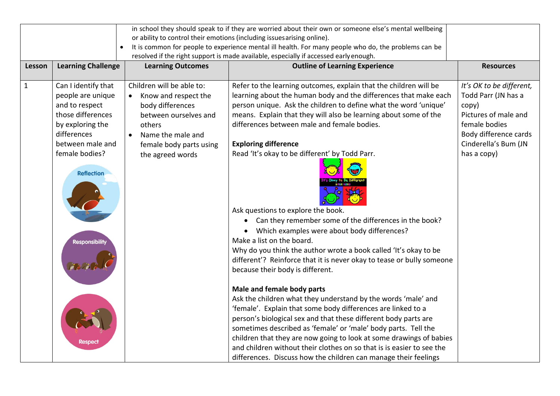|              |                                                                                       |                                   | in school they should speak to if they are worried about their own or someone else's mental wellbeing |                          |
|--------------|---------------------------------------------------------------------------------------|-----------------------------------|-------------------------------------------------------------------------------------------------------|--------------------------|
|              |                                                                                       |                                   | or ability to control their emotions (including issues arising online).                               |                          |
|              | $\bullet$                                                                             |                                   | It is common for people to experience mental ill health. For many people who do, the problems can be  |                          |
|              | resolved if the right support is made available, especially if accessed early enough. |                                   |                                                                                                       |                          |
| Lesson       | <b>Learning Challenge</b>                                                             | <b>Learning Outcomes</b>          | <b>Outline of Learning Experience</b>                                                                 | <b>Resources</b>         |
|              |                                                                                       |                                   |                                                                                                       |                          |
| $\mathbf{1}$ | Can I identify that                                                                   | Children will be able to:         | Refer to the learning outcomes, explain that the children will be                                     | It's OK to be different, |
|              | people are unique                                                                     | Know and respect the<br>$\bullet$ | learning about the human body and the differences that make each                                      | Todd Parr (JN has a      |
|              | and to respect                                                                        | body differences                  | person unique. Ask the children to define what the word 'unique'                                      | copy)                    |
|              | those differences                                                                     | between ourselves and             | means. Explain that they will also be learning about some of the                                      | Pictures of male and     |
|              | by exploring the                                                                      | others                            | differences between male and female bodies.                                                           | female bodies            |
|              | differences                                                                           | Name the male and<br>$\bullet$    |                                                                                                       | Body difference cards    |
|              | between male and                                                                      | female body parts using           | <b>Exploring difference</b>                                                                           | Cinderella's Bum (JN     |
|              | female bodies?                                                                        | the agreed words                  | Read 'It's okay to be different' by Todd Parr.                                                        | has a copy)              |
|              | <b>Reflection</b>                                                                     |                                   |                                                                                                       |                          |
|              |                                                                                       |                                   |                                                                                                       |                          |
|              |                                                                                       |                                   |                                                                                                       |                          |
|              |                                                                                       |                                   | Ask questions to explore the book.                                                                    |                          |
|              |                                                                                       |                                   | Can they remember some of the differences in the book?<br>$\bullet$                                   |                          |
|              |                                                                                       |                                   | Which examples were about body differences?                                                           |                          |
|              |                                                                                       |                                   | Make a list on the board.                                                                             |                          |
|              | <b>Responsibility</b>                                                                 |                                   | Why do you think the author wrote a book called 'It's okay to be                                      |                          |
|              |                                                                                       |                                   | different'? Reinforce that it is never okay to tease or bully someone                                 |                          |
|              |                                                                                       |                                   | because their body is different.                                                                      |                          |
|              |                                                                                       |                                   |                                                                                                       |                          |
|              |                                                                                       |                                   | Male and female body parts                                                                            |                          |
|              |                                                                                       |                                   | Ask the children what they understand by the words 'male' and                                         |                          |
|              |                                                                                       |                                   | 'female'. Explain that some body differences are linked to a                                          |                          |
|              |                                                                                       |                                   | person's biological sex and that these different body parts are                                       |                          |
|              |                                                                                       |                                   | sometimes described as 'female' or 'male' body parts. Tell the                                        |                          |
|              |                                                                                       |                                   | children that they are now going to look at some drawings of babies                                   |                          |
|              |                                                                                       |                                   | and children without their clothes on so that is is easier to see the                                 |                          |
|              |                                                                                       |                                   | differences. Discuss how the children can manage their feelings                                       |                          |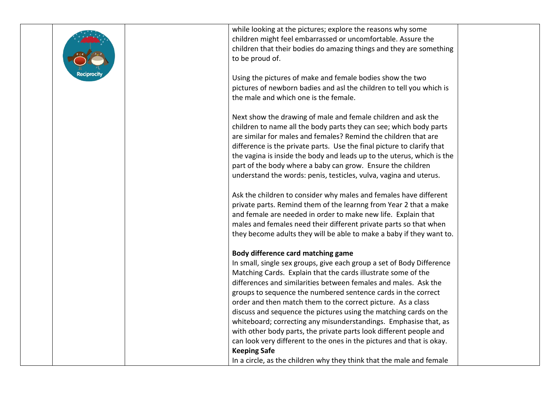

while looking at the pictures; explore the reasons why some children might feel embarrassed or uncomfortable. Assure the children that their bodies do amazing things and they are something to be proud of.

Using the pictures of make and female bodies show the two pictures of newborn badies and asl the children to tell you which is the male and which one is the female.

Next show the drawing of male and female children and ask the children to name all the body parts they can see; which body parts are similar for males and females? Remind the children that are difference is the private parts. Use the final picture to clarify that the vagina is inside the body and leads up to the uterus, which is the part of the body where a baby can grow. Ensure the children understand the words: penis, testicles, vulva, vagina and uterus.

Ask the children to consider why males and females have different private parts. Remind them of the learnng from Year 2 that a make and female are needed in order to make new life. Explain that males and females need their different private parts so that when they become adults they will be able to make a baby if they want to.

## **Body difference card matching game**

In small, single sex groups, give each group a set of Body Difference Matching Cards. Explain that the cards illustrate some of the differences and similarities between females and males. Ask the groups to sequence the numbered sentence cards in the correct order and then match them to the correct picture. As a class discuss and sequence the pictures using the matching cards on the whiteboard; correcting any misunderstandings. Emphasise that, as with other body parts, the private parts look different people and can look very different to the ones in the pictures and that is okay. **Keeping Safe** In a circle, as the children why they think that the male and female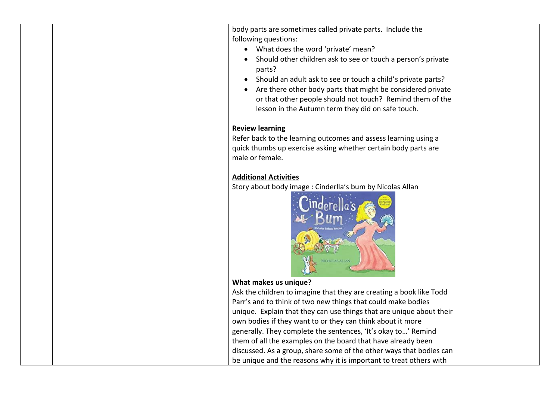|  | body parts are sometimes called private parts. Include the<br>following questions: |  |
|--|------------------------------------------------------------------------------------|--|
|  | • What does the word 'private' mean?                                               |  |
|  | Should other children ask to see or touch a person's private                       |  |
|  | parts?                                                                             |  |
|  | Should an adult ask to see or touch a child's private parts?<br>$\bullet$          |  |
|  | Are there other body parts that might be considered private                        |  |
|  | or that other people should not touch? Remind them of the                          |  |
|  | lesson in the Autumn term they did on safe touch.                                  |  |
|  |                                                                                    |  |
|  | <b>Review learning</b>                                                             |  |
|  | Refer back to the learning outcomes and assess learning using a                    |  |
|  | quick thumbs up exercise asking whether certain body parts are                     |  |
|  | male or female.                                                                    |  |
|  |                                                                                    |  |
|  | <b>Additional Activities</b>                                                       |  |
|  | Story about body image : Cinderlla's bum by Nicolas Allan                          |  |
|  |                                                                                    |  |
|  | What makes us unique?                                                              |  |
|  | Ask the children to imagine that they are creating a book like Todd                |  |
|  | Parr's and to think of two new things that could make bodies                       |  |
|  | unique. Explain that they can use things that are unique about their               |  |
|  | own bodies if they want to or they can think about it more                         |  |
|  | generally. They complete the sentences, 'It's okay to' Remind                      |  |
|  | them of all the examples on the board that have already been                       |  |
|  | discussed. As a group, share some of the other ways that bodies can                |  |
|  | be unique and the reasons why it is important to treat others with                 |  |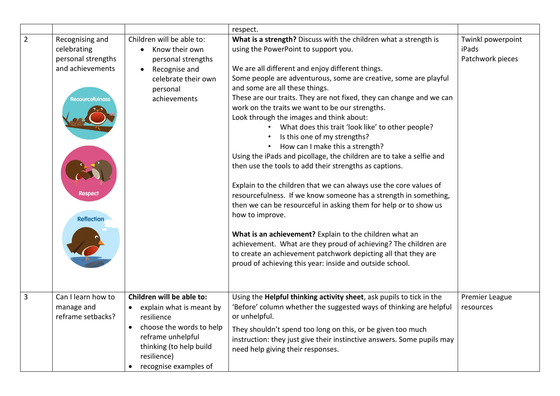|                |                                                                                                                             |                                                                                                                                       | respect.                                                                                                                                                                                                                                                                                                                                                                                                                                                                                                                                                                                                                                                                                                                                                                                                                                                                                                                                                                                                                                                                                                                                                                                        |                                                |
|----------------|-----------------------------------------------------------------------------------------------------------------------------|---------------------------------------------------------------------------------------------------------------------------------------|-------------------------------------------------------------------------------------------------------------------------------------------------------------------------------------------------------------------------------------------------------------------------------------------------------------------------------------------------------------------------------------------------------------------------------------------------------------------------------------------------------------------------------------------------------------------------------------------------------------------------------------------------------------------------------------------------------------------------------------------------------------------------------------------------------------------------------------------------------------------------------------------------------------------------------------------------------------------------------------------------------------------------------------------------------------------------------------------------------------------------------------------------------------------------------------------------|------------------------------------------------|
| $\overline{2}$ | Recognising and<br>celebrating<br>personal strengths<br>and achievements<br>Resourcefulness<br>Respect<br><b>Reflection</b> | Children will be able to:<br>Know their own<br>personal strengths<br>Recognise and<br>celebrate their own<br>personal<br>achievements | What is a strength? Discuss with the children what a strength is<br>using the PowerPoint to support you.<br>We are all different and enjoy different things.<br>Some people are adventurous, some are creative, some are playful<br>and some are all these things.<br>These are our traits. They are not fixed, they can change and we can<br>work on the traits we want to be our strengths.<br>Look through the images and think about:<br>What does this trait 'look like' to other people?<br>Is this one of my strengths?<br>How can I make this a strength?<br>Using the iPads and picollage, the children are to take a selfie and<br>then use the tools to add their strengths as captions.<br>Explain to the children that we can always use the core values of<br>resourcefulness. If we know someone has a strength in something,<br>then we can be resourceful in asking them for help or to show us<br>how to improve.<br>What is an achievement? Explain to the children what an<br>achievement. What are they proud of achieving? The children are<br>to create an achievement patchwork depicting all that they are<br>proud of achieving this year: inside and outside school. | Twinkl powerpoint<br>iPads<br>Patchwork pieces |
| 3              | Can I learn how to<br>manage and<br>reframe setbacks?                                                                       | Children will be able to:<br>• explain what is meant by<br>resilience                                                                 | Using the Helpful thinking activity sheet, ask pupils to tick in the<br>'Before' column whether the suggested ways of thinking are helpful<br>or unhelpful.                                                                                                                                                                                                                                                                                                                                                                                                                                                                                                                                                                                                                                                                                                                                                                                                                                                                                                                                                                                                                                     | Premier League<br>resources                    |
|                |                                                                                                                             | choose the words to help<br>$\bullet$<br>reframe unhelpful<br>thinking (to help build<br>resilience)<br>recognise examples of         | They shouldn't spend too long on this, or be given too much<br>instruction: they just give their instinctive answers. Some pupils may<br>need help giving their responses.                                                                                                                                                                                                                                                                                                                                                                                                                                                                                                                                                                                                                                                                                                                                                                                                                                                                                                                                                                                                                      |                                                |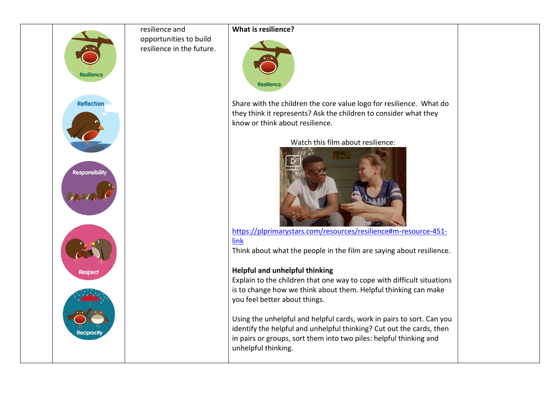

resilience and opportunities to build resilience in the future.

## **What is resilience?**



Share with the children the core value logo for resilience. What do they think it represents? Ask the children to consider what they know or think about resilience.

Watch this film about resilience:



[https://plprimarystars.com/resources/resilience#m-resource-451](https://plprimarystars.com/resources/resilience#m-resource-451-link) [link](https://plprimarystars.com/resources/resilience#m-resource-451-link)

Think about what the people in the film are saying about resilience.

## **Helpful and unhelpful thinking**

Explain to the children that one way to cope with difficult situations is to change how we think about them. Helpful thinking can make you feel better about things.

Using the unhelpful and helpful cards, work in pairs to sort. Can you identify the helpful and unhelpful thinking? Cut out the cards, then in pairs or groups, sort them into two piles: helpful thinking and unhelpful thinking.